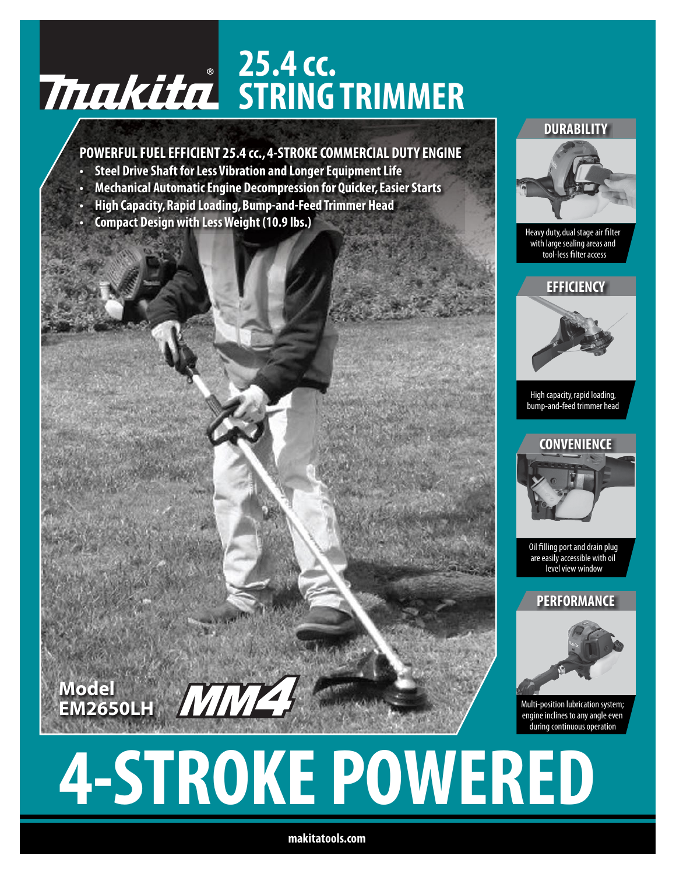# **25.4 cc. STRING TRIMMER**

# **POWERFUL FUEL EFFICIENT 25.4 cc., 4-STROKE COMMERCIAL DUTY ENGINE**

- **• Steel Drive Shaft forLess Vibration and LongerEquipmentLife**
- **• Mechanical AutomaticEngine Decompression for Quicker,EasierStarts**
- **• High Capacity,Rapid Loading,Bump-and-Feed Trimmer Head**
- **• Compact Design with LessWeight (10.9 lbs.)**

**Model**

**EM2650LH**

#### **DURABILITY**



Heavy duty, dual stage air filter with large sealing areas and tool-less filter access



High capacity,rapid loading, bump-and-feed trimmer head



Oil filling port and drain plug are easily accessible with oil level view window

**PERFORMANCE**



Multi-position lubrication system; engine inclines to any angle even during continuous operation

# **4-STROKE POWERED**

**makitatools.com**